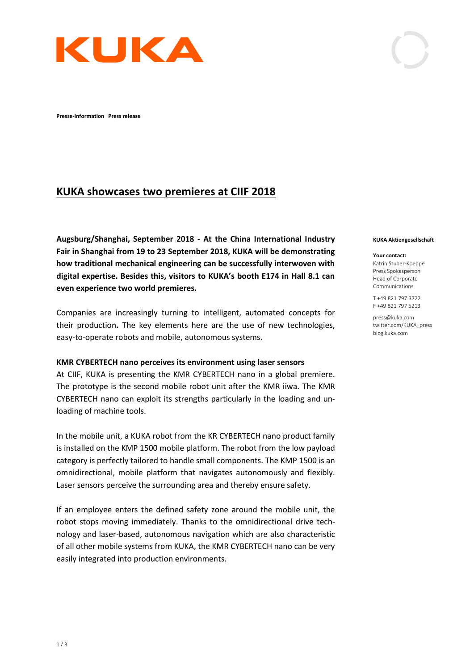

**Presse-Information Press release** 

# **KUKA showcases two premieres at CIIF 2018**

**Augsburg/Shanghai, September 2018 - At the China International Industry Fair in Shanghai from 19 to 23 September 2018, KUKA will be demonstrating how traditional mechanical engineering can be successfully interwoven with digital expertise. Besides this, visitors to KUKA's booth E174 in Hall 8.1 can even experience two world premieres.**

Companies are increasingly turning to intelligent, automated concepts for their production**.** The key elements here are the use of new technologies, easy-to-operate robots and mobile, autonomous systems.

#### **KMR CYBERTECH nano perceives its environment using laser sensors**

At CIIF, KUKA is presenting the KMR CYBERTECH nano in a global premiere. The prototype is the second mobile robot unit after the KMR iiwa. The KMR CYBERTECH nano can exploit its strengths particularly in the loading and unloading of machine tools.

In the mobile unit, a KUKA robot from the KR CYBERTECH nano product family is installed on the KMP 1500 mobile platform. The robot from the low payload category is perfectly tailored to handle small components. The KMP 1500 is an omnidirectional, mobile platform that navigates autonomously and flexibly. Laser sensors perceive the surrounding area and thereby ensure safety.

If an employee enters the defined safety zone around the mobile unit, the robot stops moving immediately. Thanks to the omnidirectional drive technology and laser-based, autonomous navigation which are also characteristic of all other mobile systems from KUKA, the KMR CYBERTECH nano can be very easily integrated into production environments.

#### **KUKA Aktiengesellschaft**

#### **Your contact:**

Katrin Stuber-Koeppe Press Spokesperson Head of Corporate Communications

T +49 821 797 3722 F +49 821 797 5213

press@kuka.com twitter.com/KUKA\_press blog.kuka.com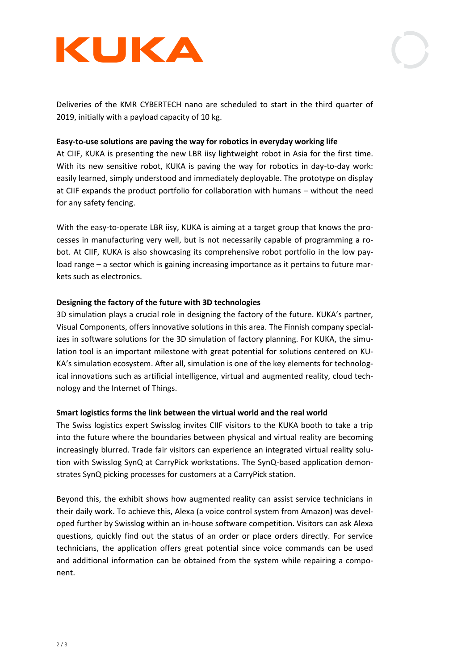



Deliveries of the KMR CYBERTECH nano are scheduled to start in the third quarter of 2019, initially with a payload capacity of 10 kg.

## **Easy-to-use solutions are paving the way for robotics in everyday working life**

At CIIF, KUKA is presenting the new LBR iisy lightweight robot in Asia for the first time. With its new sensitive robot, KUKA is paving the way for robotics in day-to-day work: easily learned, simply understood and immediately deployable. The prototype on display at CIIF expands the product portfolio for collaboration with humans – without the need for any safety fencing.

With the easy-to-operate LBR iisy, KUKA is aiming at a target group that knows the processes in manufacturing very well, but is not necessarily capable of programming a robot. At CIIF, KUKA is also showcasing its comprehensive robot portfolio in the low payload range – a sector which is gaining increasing importance as it pertains to future markets such as electronics.

### **Designing the factory of the future with 3D technologies**

3D simulation plays a crucial role in designing the factory of the future. KUKA's partner, Visual Components, offers innovative solutions in this area. The Finnish company specializes in software solutions for the 3D simulation of factory planning. For KUKA, the simulation tool is an important milestone with great potential for solutions centered on KU-KA's simulation ecosystem. After all, simulation is one of the key elements for technological innovations such as artificial intelligence, virtual and augmented reality, cloud technology and the Internet of Things.

### **Smart logistics forms the link between the virtual world and the real world**

The Swiss logistics expert Swisslog invites CIIF visitors to the KUKA booth to take a trip into the future where the boundaries between physical and virtual reality are becoming increasingly blurred. Trade fair visitors can experience an integrated virtual reality solution with Swisslog SynQ at CarryPick workstations. The SynQ-based application demonstrates SynQ picking processes for customers at a CarryPick station.

Beyond this, the exhibit shows how augmented reality can assist service technicians in their daily work. To achieve this, Alexa (a voice control system from Amazon) was developed further by Swisslog within an in-house software competition. Visitors can ask Alexa questions, quickly find out the status of an order or place orders directly. For service technicians, the application offers great potential since voice commands can be used and additional information can be obtained from the system while repairing a component.